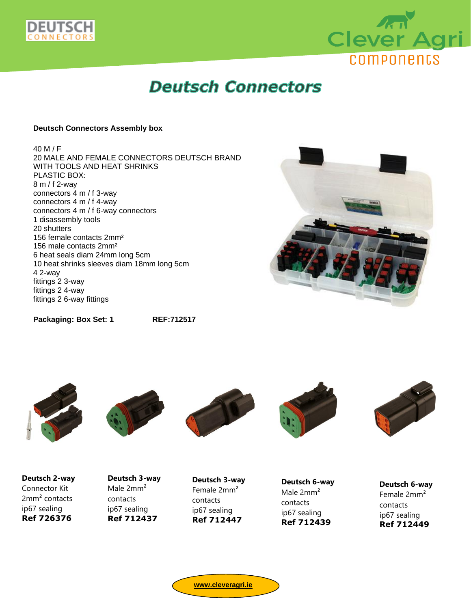



# **Deutsch Connectors**

#### **Deutsch Connectors Assembly box**

40 M / F 20 MALE AND FEMALE CONNECTORS DEUTSCH BRAND WITH TOOLS AND HEAT SHRINKS PLASTIC BOX: 8 m / f 2-way connectors 4 m / f 3-way connectors 4 m / f 4-way connectors 4 m / f 6-way connectors 1 disassembly tools 20 shutters 156 female contacts 2mm² 156 male contacts 2mm² 6 heat seals diam 24mm long 5cm 10 heat shrinks sleeves diam 18mm long 5cm 4 2-way fittings 2 3-way fittings 2 4-way fittings 2 6-way fittings



**Packaging: Box Set: 1 REF:712517**











**Deutsch 2-way** Connector Kit 2mm² contacts ip67 sealing **Ref 726376**

**Deutsch 3-way** Male 2mm² contacts ip67 sealing **Ref 712437**

**Deutsch 3-way** Female 2mm² contacts ip67 sealing **Ref 712447**

**Deutsch 6-way** Male 2mm² contacts ip67 sealing **Ref 712439**

**Deutsch 6-way** Female 2mm² contacts ip67 sealing **Ref 712449**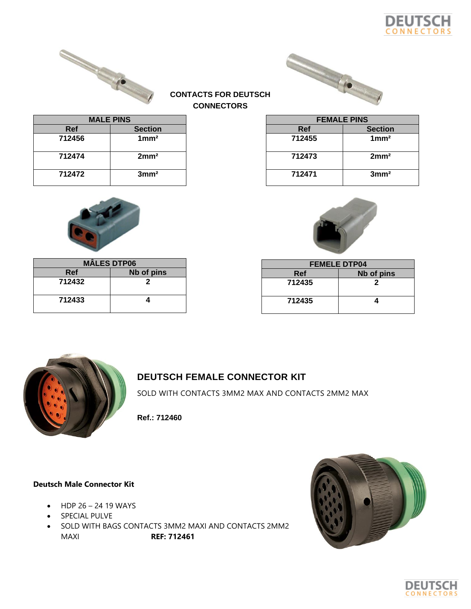





| <b>MALE PINS</b> |                  |  |
|------------------|------------------|--|
| <b>Ref</b>       | <b>Section</b>   |  |
| 712456           | 1mm <sup>2</sup> |  |
| 712474           | 2mm <sup>2</sup> |  |
| 712472           | 3mm <sup>2</sup> |  |



| <b>MÂLES DTP06</b> |            |  |
|--------------------|------------|--|
| Ref                | Nb of pins |  |
| 712432             |            |  |
| 712433             |            |  |

| 712471 | 3mm <sup>2</sup> |
|--------|------------------|
|        |                  |
|        |                  |

**FEMALE PINS Ref Section 712455 1mm²**

**712473 2mm²**

| <b>FEMELE DTP04</b> |            |  |
|---------------------|------------|--|
| <b>Ref</b>          | Nb of pins |  |
| 712435              | 2          |  |
| 712435              |            |  |



# **DEUTSCH FEMALE CONNECTOR KIT**

**CONTACTS FOR DEUTSCH CONNECTORS**

SOLD WITH CONTACTS 3MM2 MAX AND CONTACTS 2MM2 MAX

**Ref.: 712460**

# **Deutsch Male Connector Kit**

- $\bullet$  HDP 26 24 19 WAYS
- SPECIAL PULVE
- SOLD WITH BAGS CONTACTS 3MM2 MAXI AND CONTACTS 2MM2 MAXI **REF: 712461**



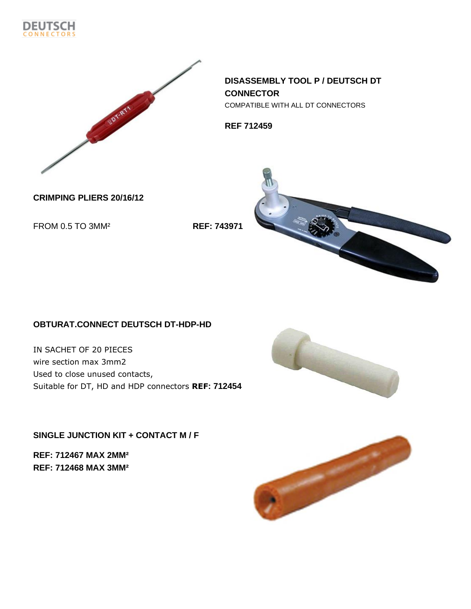



**DISASSEMBLY TOOL P / DEUTSCH DT CONNECTOR** COMPATIBLE WITH ALL DT CONNECTORS

**REF 712459**

**CRIMPING PLIERS 20/16/12**

FROM 0.5 TO 3MM² **REF: 743971**



# **OBTURAT.CONNECT DEUTSCH DT-HDP-HD**

IN SACHET OF 20 PIECES wire section max 3mm2 Used to close unused contacts, Suitable for DT, HD and HDP connectors **REF: 712454**

**SINGLE JUNCTION KIT + CONTACT M / F**

**REF: 712467 MAX 2MM² REF: 712468 MAX 3MM²**